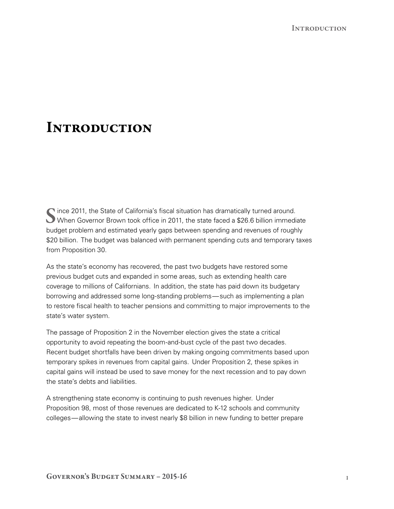Since 2011, the State of California's fiscal situation has dramatically turned around.<br>When Governor Brown took office in 2011, the state faced a \$26.6 billion immediate budget problem and estimated yearly gaps between spending and revenues of roughly \$20 billion. The budget was balanced with permanent spending cuts and temporary taxes from Proposition 30.

As the state's economy has recovered, the past two budgets have restored some previous budget cuts and expanded in some areas, such as extending health care coverage to millions of Californians. In addition, the state has paid down its budgetary borrowing and addressed some long‑standing problems—such as implementing a plan to restore fiscal health to teacher pensions and committing to major improvements to the state's water system.

The passage of Proposition 2 in the November election gives the state a critical opportunity to avoid repeating the boom‑and‑bust cycle of the past two decades. Recent budget shortfalls have been driven by making ongoing commitments based upon temporary spikes in revenues from capital gains. Under Proposition 2, these spikes in capital gains will instead be used to save money for the next recession and to pay down the state's debts and liabilities.

A strengthening state economy is continuing to push revenues higher. Under Proposition 98, most of those revenues are dedicated to K‑12 schools and community colleges—allowing the state to invest nearly \$8 billion in new funding to better prepare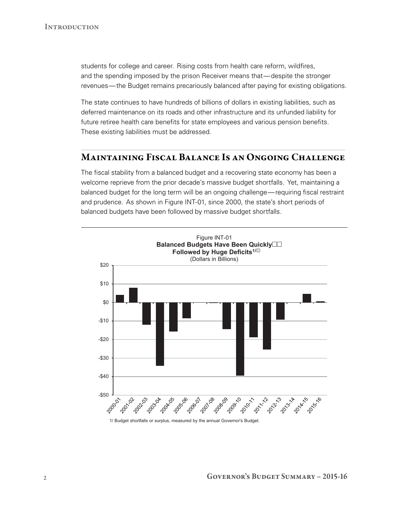students for college and career. Rising costs from health care reform, wildfires, and the spending imposed by the prison Receiver means that—despite the stronger revenues—the Budget remains precariously balanced after paying for existing obligations.

The state continues to have hundreds of billions of dollars in existing liabilities, such as deferred maintenance on its roads and other infrastructure and its unfunded liability for future retiree health care benefits for state employees and various pension benefits. These existing liabilities must be addressed.

### Maintaining Fiscal Balance Is an Ongoing Challenge

The fiscal stability from a balanced budget and a recovering state economy has been a welcome reprieve from the prior decade's massive budget shortfalls. Yet, maintaining a balanced budget for the long term will be an ongoing challenge—requiring fiscal restraint and prudence. As shown in Figure INT‑01, since 2000, the state's short periods of balanced budgets have been followed by massive budget shortfalls.



<sup>1/</sup> Budget shortfalls or surplus, measured by the annual Governor's Budget.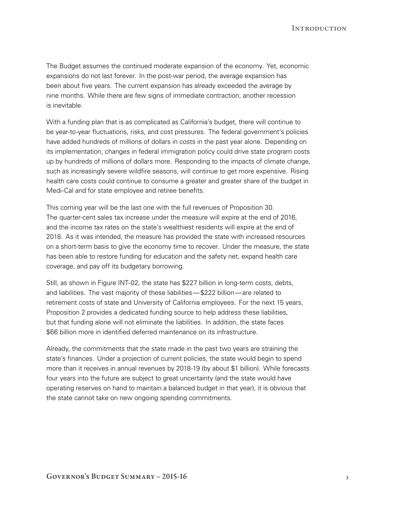The Budget assumes the continued moderate expansion of the economy. Yet, economic expansions do not last forever. In the post-war period, the average expansion has been about five years. The current expansion has already exceeded the average by nine months. While there are few signs of immediate contraction, another recession is inevitable.

With a funding plan that is as complicated as California's budget, there will continue to be year-to-year fluctuations, risks, and cost pressures. The federal government's policies have added hundreds of millions of dollars in costs in the past year alone. Depending on its implementation, changes in federal immigration policy could drive state program costs up by hundreds of millions of dollars more. Responding to the impacts of climate change, such as increasingly severe wildfire seasons, will continue to get more expensive. Rising health care costs could continue to consume a greater and greater share of the budget in Medi-Cal and for state employee and retiree benefits.

This coming year will be the last one with the full revenues of Proposition 30. The quarter-cent sales tax increase under the measure will expire at the end of 2016, and the income tax rates on the state's wealthiest residents will expire at the end of 2018. As it was intended, the measure has provided the state with increased resources on a short‑term basis to give the economy time to recover. Under the measure, the state has been able to restore funding for education and the safety net, expand health care coverage, and pay off its budgetary borrowing.

Still, as shown in Figure INT-02, the state has \$227 billion in long-term costs, debts, and liabilities. The vast majority of these liabilities—\$222 billion—are related to retirement costs of state and University of California employees. For the next 15 years, Proposition 2 provides a dedicated funding source to help address these liabilities, but that funding alone will not eliminate the liabilities. In addition, the state faces \$66 billion more in identified deferred maintenance on its infrastructure.

Already, the commitments that the state made in the past two years are straining the state's finances. Under a projection of current policies, the state would begin to spend more than it receives in annual revenues by 2018‑19 (by about \$1 billion). While forecasts four years into the future are subject to great uncertainty (and the state would have operating reserves on hand to maintain a balanced budget in that year), it is obvious that the state cannot take on new ongoing spending commitments.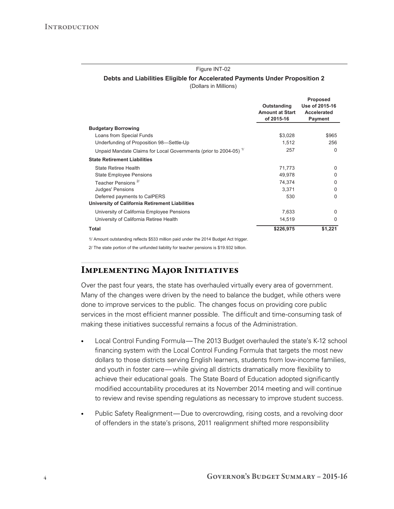#### Figure INT-02

#### **Debts and Liabilities Eligible for Accelerated Payments Under Proposition 2**

(Dollars in Millions)

|                                                                              | Outstanding<br><b>Amount at Start</b><br>of 2015-16 | <b>Proposed</b><br>Use of 2015-16<br>Accelerated<br>Payment |
|------------------------------------------------------------------------------|-----------------------------------------------------|-------------------------------------------------------------|
| <b>Budgetary Borrowing</b>                                                   |                                                     |                                                             |
| Loans from Special Funds                                                     | \$3,028                                             | \$965                                                       |
| Underfunding of Proposition 98-Settle-Up                                     | 1,512                                               | 256                                                         |
| Unpaid Mandate Claims for Local Governments (prior to 2004-05) <sup>1/</sup> | 257                                                 | $\Omega$                                                    |
| <b>State Retirement Liabilities</b>                                          |                                                     |                                                             |
| State Retiree Health                                                         | 71,773                                              | <sup>0</sup>                                                |
| <b>State Employee Pensions</b>                                               | 49.978                                              | <sup>0</sup>                                                |
| Teacher Pensions <sup>2/</sup>                                               | 74,374                                              | <sup>0</sup>                                                |
| Judges' Pensions                                                             | 3.371                                               | <sup>0</sup>                                                |
| Deferred payments to CalPERS                                                 | 530                                                 | $\Omega$                                                    |
| University of California Retirement Liabilities                              |                                                     |                                                             |
| University of California Employee Pensions                                   | 7,633                                               | <sup>0</sup>                                                |
| University of California Retiree Health                                      | 14,519                                              | <sup>0</sup>                                                |
| Total                                                                        | \$226,975                                           | \$1,221                                                     |

1/ Amount outstanding reflects \$533 million paid under the 2014 Budget Act trigger.

2/ The state portion of the unfunded liability for teacher pensions is \$19.932 billion.

### Implementing Major Initiatives

Over the past four years, the state has overhauled virtually every area of government. Many of the changes were driven by the need to balance the budget, while others were done to improve services to the public. The changes focus on providing core public services in the most efficient manner possible. The difficult and time-consuming task of making these initiatives successful remains a focus of the Administration.

- Local Control Funding Formula—The 2013 Budget overhauled the state's K-12 school financing system with the Local Control Funding Formula that targets the most new dollars to those districts serving English learners, students from low-income families, and youth in foster care— while giving all districts dramatically more flexibility to achieve their educational goals. The State Board of Education adopted significantly modified accountability procedures at its November 2014 meeting and will continue to review and revise spending regulations as necessary to improve student success.
- Public Safety Realignment—Due to overcrowding, rising costs, and a revolving door of offenders in the state's prisons, 2011 realignment shifted more responsibility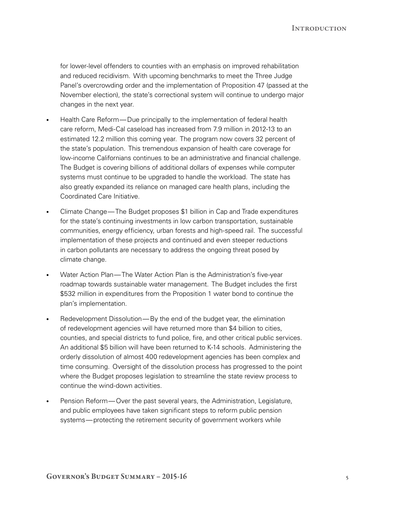for lower-level offenders to counties with an emphasis on improved rehabilitation and reduced recidivism. With upcoming benchmarks to meet the Three Judge Panel's overcrowding order and the implementation of Proposition 47 (passed at the November election), the state's correctional system will continue to undergo major changes in the next year.

- Health Care Reform—Due principally to the implementation of federal health care reform, Medi‑Cal caseload has increased from 7.9 million in 2012‑13 to an estimated 12.2 million this coming year. The program now covers 32 percent of the state's population. This tremendous expansion of health care coverage for low‑income Californians continues to be an administrative and financial challenge. The Budget is covering billions of additional dollars of expenses while computer systems must continue to be upgraded to handle the workload. The state has also greatly expanded its reliance on managed care health plans, including the Coordinated Care Initiative.
- Climate Change—The Budget proposes \$1 billion in Cap and Trade expenditures for the state's continuing investments in low carbon transportation, sustainable communities, energy efficiency, urban forests and high-speed rail. The successful implementation of these projects and continued and even steeper reductions in carbon pollutants are necessary to address the ongoing threat posed by climate change.
- Water Action Plan—The Water Action Plan is the Administration's five-year roadmap towards sustainable water management. The Budget includes the first \$532 million in expenditures from the Proposition 1 water bond to continue the plan's implementation.
- Redevelopment Dissolution—By the end of the budget year, the elimination of redevelopment agencies will have returned more than \$4 billion to cities, counties, and special districts to fund police, fire, and other critical public services. An additional \$5 billion will have been returned to K‑14 schools. Administering the orderly dissolution of almost 400 redevelopment agencies has been complex and time consuming. Oversight of the dissolution process has progressed to the point where the Budget proposes legislation to streamline the state review process to continue the wind‑down activities.
- Pension Reform—Over the past several years, the Administration, Legislature, and public employees have taken significant steps to reform public pension systems—protecting the retirement security of government workers while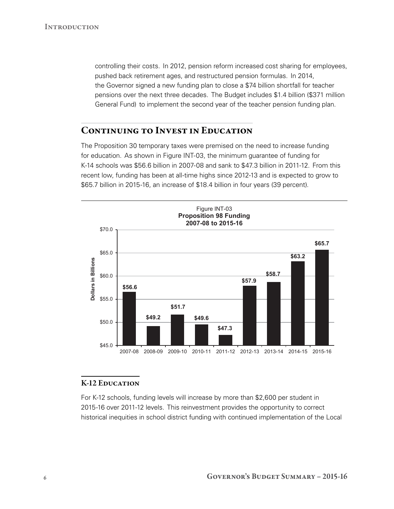controlling their costs. In 2012, pension reform increased cost sharing for employees, pushed back retirement ages, and restructured pension formulas. In 2014, the Governor signed a new funding plan to close a \$74 billion shortfall for teacher pensions over the next three decades. The Budget includes \$1.4 billion (\$371 million General Fund) to implement the second year of the teacher pension funding plan.

## CONTINUING TO INVEST IN EDUCATION

The Proposition 30 temporary taxes were premised on the need to increase funding for education. As shown in Figure INT‑03, the minimum guarantee of funding for K‑14 schools was \$56.6 billion in 2007‑08 and sank to \$47.3 billion in 2011‑12. From this recent low, funding has been at all-time highs since 2012-13 and is expected to grow to \$65.7 billion in 2015‑16, an increase of \$18.4 billion in four years (39 percent).



### **K-12 EDUCATION**

For K‑12 schools, funding levels will increase by more than \$2,600 per student in 2015‑16 over 2011‑12 levels. This reinvestment provides the opportunity to correct historical inequities in school district funding with continued implementation of the Local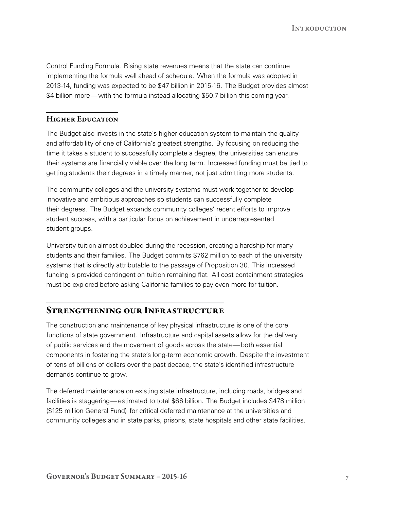Control Funding Formula. Rising state revenues means that the state can continue implementing the formula well ahead of schedule. When the formula was adopted in 2013‑14, funding was expected to be \$47 billion in 2015‑16. The Budget provides almost \$4 billion more—with the formula instead allocating \$50.7 billion this coming year.

#### Higher Education

The Budget also invests in the state's higher education system to maintain the quality and affordability of one of California's greatest strengths. By focusing on reducing the time it takes a student to successfully complete a degree, the universities can ensure their systems are financially viable over the long term. Increased funding must be tied to getting students their degrees in a timely manner, not just admitting more students.

The community colleges and the university systems must work together to develop innovative and ambitious approaches so students can successfully complete their degrees. The Budget expands community colleges' recent efforts to improve student success, with a particular focus on achievement in underrepresented student groups.

University tuition almost doubled during the recession, creating a hardship for many students and their families. The Budget commits \$762 million to each of the university systems that is directly attributable to the passage of Proposition 30. This increased funding is provided contingent on tuition remaining flat. All cost containment strategies must be explored before asking California families to pay even more for tuition.

#### Strengthening our Infrastructure

The construction and maintenance of key physical infrastructure is one of the core functions of state government. Infrastructure and capital assets allow for the delivery of public services and the movement of goods across the state—both essential components in fostering the state's long-term economic growth. Despite the investment of tens of billions of dollars over the past decade, the state's identified infrastructure demands continue to grow.

The deferred maintenance on existing state infrastructure, including roads, bridges and facilities is staggering—estimated to total \$66 billion. The Budget includes \$478 million (\$125 million General Fund) for critical deferred maintenance at the universities and community colleges and in state parks, prisons, state hospitals and other state facilities.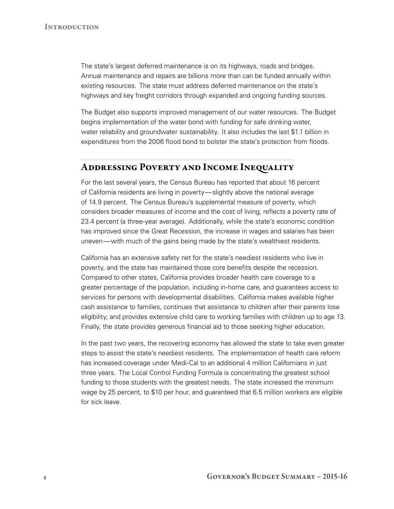The state's largest deferred maintenance is on its highways, roads and bridges. Annual maintenance and repairs are billions more than can be funded annually within existing resources. The state must address deferred maintenance on the state's highways and key freight corridors through expanded and ongoing funding sources.

The Budget also supports improved management of our water resources. The Budget begins implementation of the water bond with funding for safe drinking water, water reliability and groundwater sustainability. It also includes the last \$1.1 billion in expenditures from the 2006 flood bond to bolster the state's protection from floods.

### Addressing Poverty and Income Inequality

For the last several years, the Census Bureau has reported that about 16 percent of California residents are living in poverty—slightly above the national average of 14.9 percent. The Census Bureau's supplemental measure of poverty, which considers broader measures of income and the cost of living, reflects a poverty rate of 23.4 percent (a three‑year average). Additionally, while the state's economic condition has improved since the Great Recession, the increase in wages and salaries has been uneven—with much of the gains being made by the state's wealthiest residents.

California has an extensive safety net for the state's neediest residents who live in poverty, and the state has maintained those core benefits despite the recession. Compared to other states, California provides broader health care coverage to a greater percentage of the population, including in‑home care, and guarantees access to services for persons with developmental disabilities. California makes available higher cash assistance to families, continues that assistance to children after their parents lose eligibility, and provides extensive child care to working families with children up to age 13. Finally, the state provides generous financial aid to those seeking higher education.

In the past two years, the recovering economy has allowed the state to take even greater steps to assist the state's neediest residents. The implementation of health care reform has increased coverage under Medi-Cal to an additional 4 million Californians in just three years. The Local Control Funding Formula is concentrating the greatest school funding to those students with the greatest needs. The state increased the minimum wage by 25 percent, to \$10 per hour, and guaranteed that 6.5 million workers are eligible for sick leave.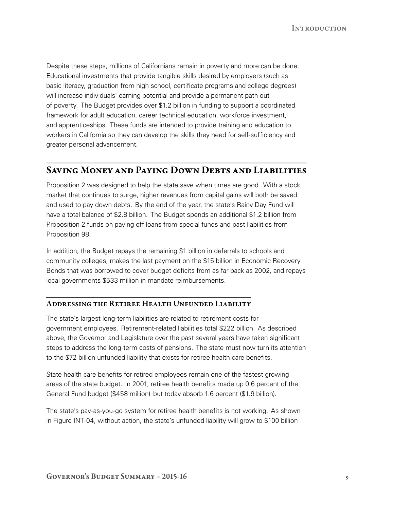Despite these steps, millions of Californians remain in poverty and more can be done. Educational investments that provide tangible skills desired by employers (such as basic literacy, graduation from high school, certificate programs and college degrees) will increase individuals' earning potential and provide a permanent path out of poverty. The Budget provides over \$1.2 billion in funding to support a coordinated framework for adult education, career technical education, workforce investment, and apprenticeships. These funds are intended to provide training and education to workers in California so they can develop the skills they need for self-sufficiency and greater personal advancement.

#### Saving Money and Paying Down Debts and Liabilities

Proposition 2 was designed to help the state save when times are good. With a stock market that continues to surge, higher revenues from capital gains will both be saved and used to pay down debts. By the end of the year, the state's Rainy Day Fund will have a total balance of \$2.8 billion. The Budget spends an additional \$1.2 billion from Proposition 2 funds on paying off loans from special funds and past liabilities from Proposition 98.

In addition, the Budget repays the remaining \$1 billion in deferrals to schools and community colleges, makes the last payment on the \$15 billion in Economic Recovery Bonds that was borrowed to cover budget deficits from as far back as 2002, and repays local governments \$533 million in mandate reimbursements.

#### Addressing the Retiree Health Unfunded Liability

The state's largest long-term liabilities are related to retirement costs for government employees. Retirement‑related liabilities total \$222 billion. As described above, the Governor and Legislature over the past several years have taken significant steps to address the long-term costs of pensions. The state must now turn its attention to the \$72 billion unfunded liability that exists for retiree health care benefits.

State health care benefits for retired employees remain one of the fastest growing areas of the state budget. In 2001, retiree health benefits made up 0.6 percent of the General Fund budget (\$458 million) but today absorb 1.6 percent (\$1.9 billion).

The state's pay-as-you-go system for retiree health benefits is not working. As shown in Figure INT‑04, without action, the state's unfunded liability will grow to \$100 billion